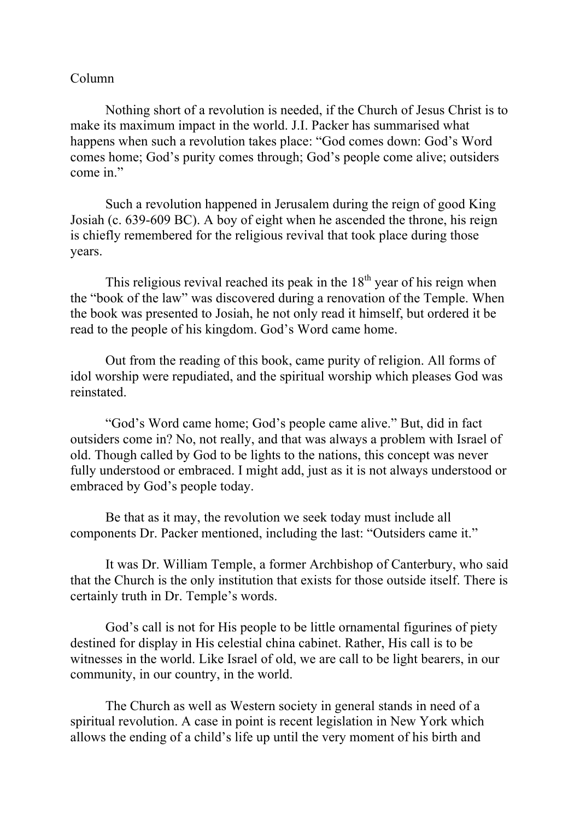## Column

Nothing short of a revolution is needed, if the Church of Jesus Christ is to make its maximum impact in the world. J.I. Packer has summarised what happens when such a revolution takes place: "God comes down: God's Word comes home; God's purity comes through; God's people come alive; outsiders come in."

Such a revolution happened in Jerusalem during the reign of good King Josiah (c. 639-609 BC). A boy of eight when he ascended the throne, his reign is chiefly remembered for the religious revival that took place during those years.

This religious revival reached its peak in the  $18<sup>th</sup>$  year of his reign when the "book of the law" was discovered during a renovation of the Temple. When the book was presented to Josiah, he not only read it himself, but ordered it be read to the people of his kingdom. God's Word came home.

Out from the reading of this book, came purity of religion. All forms of idol worship were repudiated, and the spiritual worship which pleases God was reinstated.

"God's Word came home; God's people came alive." But, did in fact outsiders come in? No, not really, and that was always a problem with Israel of old. Though called by God to be lights to the nations, this concept was never fully understood or embraced. I might add, just as it is not always understood or embraced by God's people today.

Be that as it may, the revolution we seek today must include all components Dr. Packer mentioned, including the last: "Outsiders came it."

It was Dr. William Temple, a former Archbishop of Canterbury, who said that the Church is the only institution that exists for those outside itself. There is certainly truth in Dr. Temple's words.

God's call is not for His people to be little ornamental figurines of piety destined for display in His celestial china cabinet. Rather, His call is to be witnesses in the world. Like Israel of old, we are call to be light bearers, in our community, in our country, in the world.

The Church as well as Western society in general stands in need of a spiritual revolution. A case in point is recent legislation in New York which allows the ending of a child's life up until the very moment of his birth and